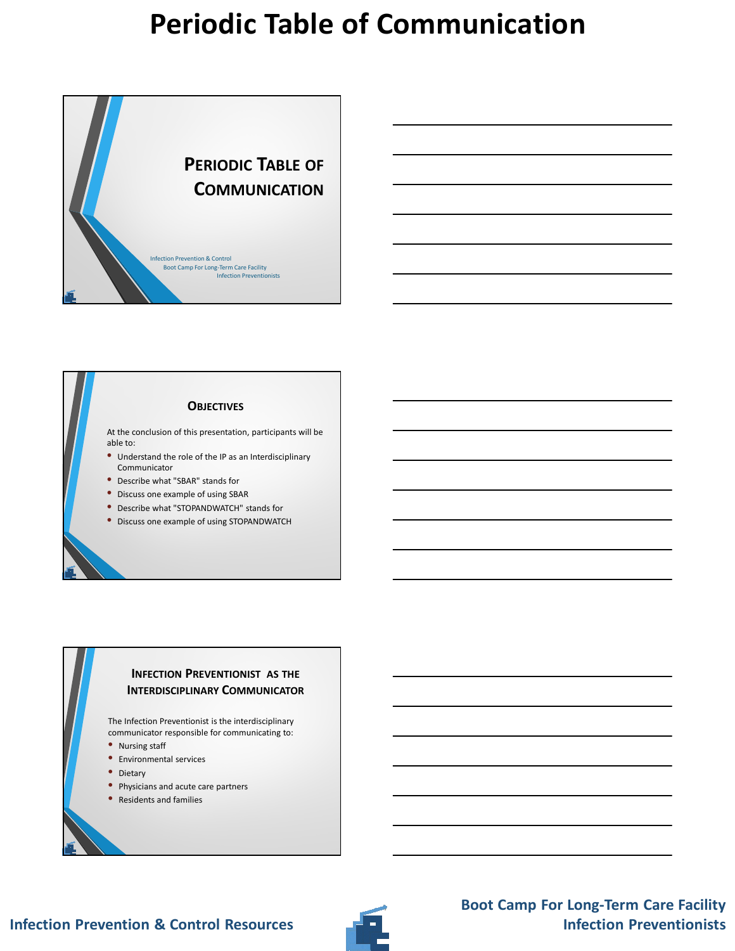

#### **OBJECTIVES**

At the conclusion of this presentation, participants will be able to:

- Understand the role of the IP as an Interdisciplinary Communicator
- Describe what "SBAR" stands for
- Discuss one example of using SBAR
- Describe what "STOPANDWATCH" stands for
- Discuss one example of using STOPANDWATCH

#### **INFECTION PREVENTIONIST AS THE INTERDISCIPLINARY COMMUNICATOR**

The Infection Preventionist is the interdisciplinary communicator responsible for communicating to:

- Nursing staff
- Environmental services
- Dietary
- Physicians and acute care partners
- Residents and families

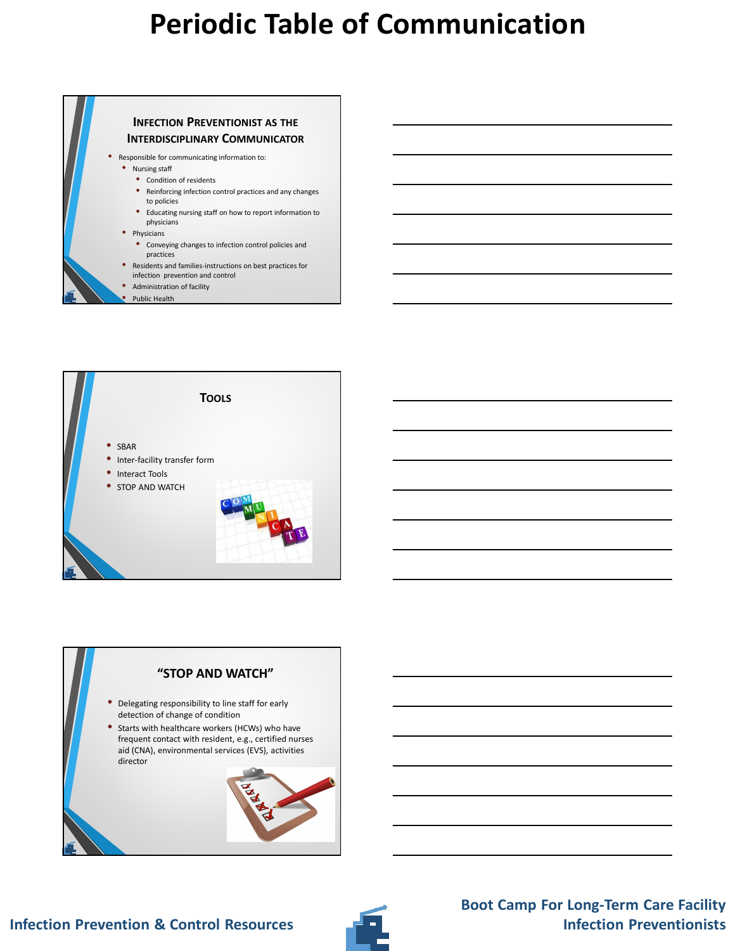





### **Infection Prevention & Control Resources**

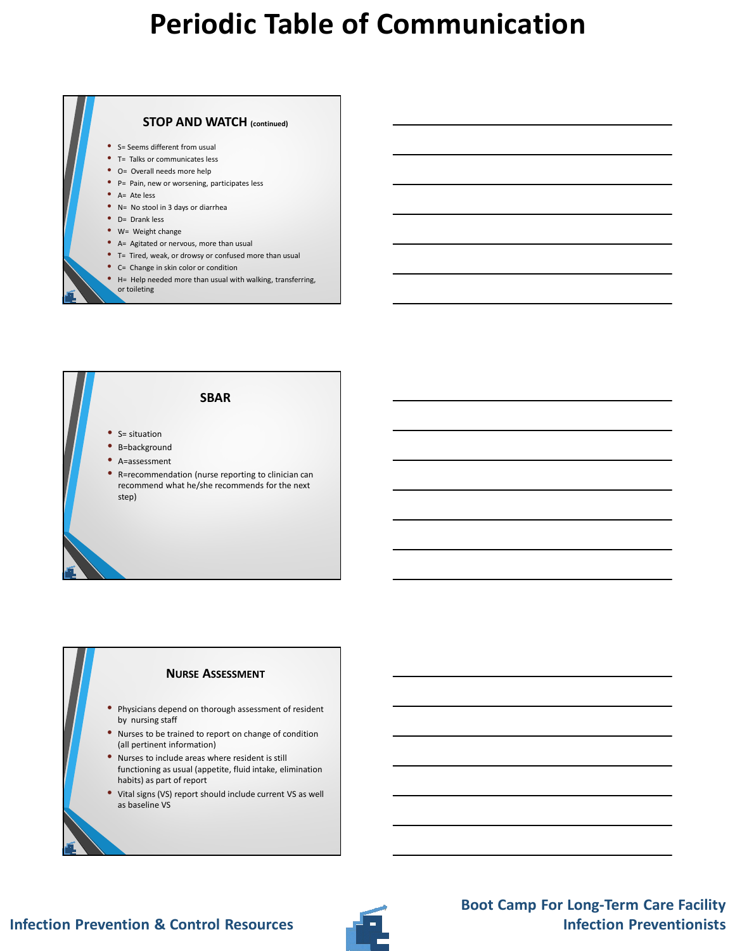

- H= Help needed more than usual with walking, transferring, or toileting
- **SBAR** • S= situation • B=background • A=assessment • R=recommendation (nurse reporting to clinician can recommend what he/she recommends for the next step)

#### **NURSE ASSESSMENT**

- Physicians depend on thorough assessment of resident by nursing staff
- Nurses to be trained to report on change of condition (all pertinent information)
- Nurses to include areas where resident is still functioning as usual (appetite, fluid intake, elimination habits) as part of report
- Vital signs (VS) report should include current VS as well as baseline VS